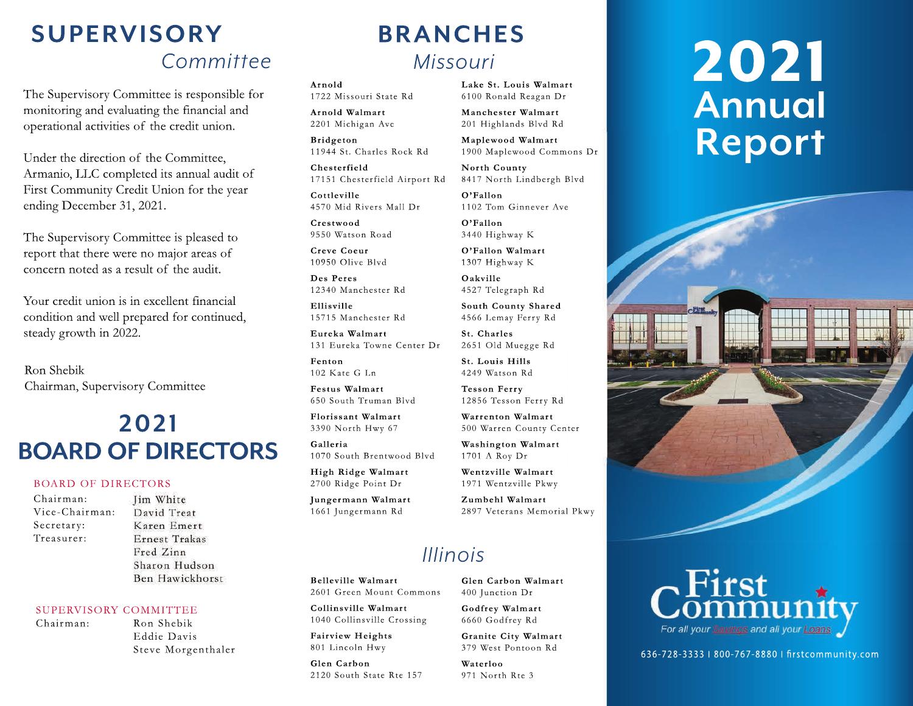# *Committee* **SUPERVISORY**

The Supervisory Committee is responsible for monitoring and evaluating the financial and operational activities of the credit union.

Under the direction of the Committee, Armanio, LLC completed its annual audit of First Community Credit Union for the year ending December 31, 2021.

The Supervisory Committee is pleased to report that there were no major areas of concern noted as a result of the audit.

Your credit union is in excellent financial condition and well prepared for continued, steady growth in 2022.

Ron Shebik Chairman, Supervisory Committee

# **2021 BOARD OF DIRECTORS**

### BOARD OF DIRECTORS

- Chairman: Vice-Chairman: Secretary: Treasurer:
- Jim White David Treat Karen Emert Ernest Trakas Fred Zinn Sharon Hudson Ben Hawickhorst

#### SUPERVISORY COMMITTEE

- Chairman: Ron Shebik
	- Eddie Davis Steve Morgenthaler

# *Missouri* **BRANCHES**

**Arnold** 1722 Missouri State Rd

**Arnold Walmart** 2201 Michigan Ave

**Bridgeton** 11944 St. Charles Rock Rd

**Chesterfield** 17151 Chesterfield Airport Rd

**Cottleville** 4570 Mid Rivers Mall Dr

**Crestwood** 9550 Watson Road

**Creve Coeur** 10950 Olive Blvd

**Des Peres** 12340 Manchester Rd

**Ellisville** 15715 Manchester Rd

**Eureka Walmart** 131 Eureka Towne Center Dr

**Fenton** 102 Kate G Ln

**Festus Walmart** 650 South Truman Blvd

**Florissant Walmart**  3390 North Hwy 67

**Galleria** 1070 South Brentwood Blvd

**High Ridge Walmart**  2700 Ridge Point Dr

**Jungermann Walmart** 1661 Jungermann Rd

#### **Lake St. Louis Walmart** 6100 Ronald Reagan Dr

**Manchester Walmart** 201 Highlands Blvd Rd

**Maplewood Walmart** 1900 Maplewood Commons Dr

**North County** 8417 North Lindbergh Blvd

**O'Fallon** 1102 Tom Ginnever Ave

**O'Fallon** 3440 Highway K

**O'Fallon Walmart** 1307 Highway K

**Oakville** 4527 Telegraph Rd

**South County Shared**  4566 Lemay Ferry Rd

**St. Charles** 2651 Old Muegge Rd

**St. Louis Hills** 4249 Watson Rd

**Tesson Ferry** 12856 Tesson Ferry Rd

**Warrenton Walmart**  500 Warren County Center

**Washington Walmart**  1701 A Roy Dr

**Wentzville Walmart**  1971 Wentzville Pkwy

**Zumbehl Walmart**  2897 Veterans Memorial Pkwy

## *Illinois*

**Belleville Walmart**  2601 Green Mount Commons

**Collinsville Walmart**  1040 Collinsville Crossing

**Fairview Heights** 801 Lincoln Hwy

**Glen Carbon**  2120 South State Rte 157 **Glen Carbon Walmart** 400 Junction Dr

**Godfrey Walmart** 6660 Godfrey Rd

**Granite City Walmart** 379 West Pontoon Rd

**Waterloo** 971 North Rte 3

# 2021 **Annual Report**





636-728-3333 l 800-767-8880 l örstcommunity.com